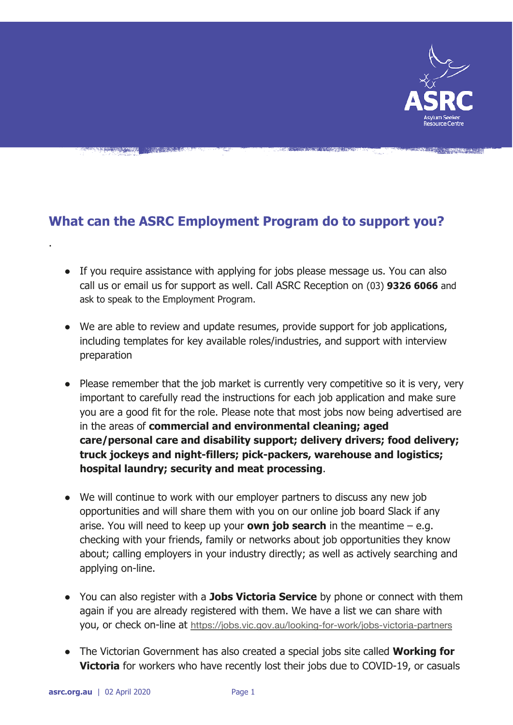

## **What can the ASRC Employment Program do to support you?**

- If you require assistance with applying for jobs please message us. You can also call us or email us for support as well. Call ASRC Reception on (03) **9326 6066** and ask to speak to the Employment Program.
- We are able to review and update resumes, provide support for job applications, including templates for key available roles/industries, and support with interview preparation
- Please remember that the job market is currently very competitive so it is very, very important to carefully read the instructions for each job application and make sure you are a good fit for the role. Please note that most jobs now being advertised are in the areas of **commercial and environmental cleaning; aged care/personal care and disability support; delivery drivers; food delivery; truck jockeys and night-fillers; pick-packers, warehouse and logistics; hospital laundry; security and meat processing**.
- We will continue to work with our employer partners to discuss any new job opportunities and will share them with you on our online job board Slack if any arise. You will need to keep up your **own job search** in the meantime – e.g. checking with your friends, family or networks about job opportunities they know about; calling employers in your industry directly; as well as actively searching and applying on-line.
- You can also register with a **Jobs Victoria Service** by phone or connect with them again if you are already registered with them. We have a list we can share with you, or check on-line at <https://jobs.vic.gov.au/looking-for-work/jobs-victoria-partners>
- The Victorian Government has also created a special jobs site called **Working for Victoria** for workers who have recently lost their jobs due to COVID-19, or casuals

.